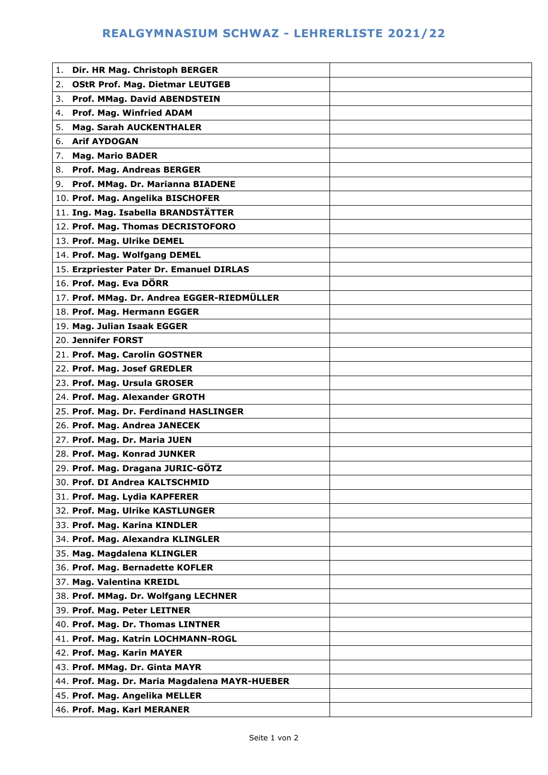## **REALGYMNASIUM SCHWAZ - LEHRERLISTE 2021/22**

| Dir. HR Mag. Christoph BERGER<br>1.            |  |
|------------------------------------------------|--|
| <b>OStR Prof. Mag. Dietmar LEUTGEB</b><br>2.   |  |
| Prof. MMag. David ABENDSTEIN<br>3.             |  |
| Prof. Mag. Winfried ADAM<br>4.                 |  |
| <b>Mag. Sarah AUCKENTHALER</b><br>5.           |  |
| 6. Arif AYDOGAN                                |  |
| <b>Mag. Mario BADER</b><br>7.                  |  |
| 8. Prof. Mag. Andreas BERGER                   |  |
| 9. Prof. MMag. Dr. Marianna BIADENE            |  |
| 10. Prof. Mag. Angelika BISCHOFER              |  |
| 11. Ing. Mag. Isabella BRANDSTÄTTER            |  |
| 12. Prof. Mag. Thomas DECRISTOFORO             |  |
| 13. Prof. Mag. Ulrike DEMEL                    |  |
| 14. Prof. Mag. Wolfgang DEMEL                  |  |
| 15. Erzpriester Pater Dr. Emanuel DIRLAS       |  |
| 16. Prof. Mag. Eva DÖRR                        |  |
| 17. Prof. MMag. Dr. Andrea EGGER-RIEDMÜLLER    |  |
| 18. Prof. Mag. Hermann EGGER                   |  |
| 19. Mag. Julian Isaak EGGER                    |  |
| 20. Jennifer FORST                             |  |
| 21. Prof. Mag. Carolin GOSTNER                 |  |
| 22. Prof. Mag. Josef GREDLER                   |  |
| 23. Prof. Mag. Ursula GROSER                   |  |
|                                                |  |
| 24. Prof. Mag. Alexander GROTH                 |  |
| 25. Prof. Mag. Dr. Ferdinand HASLINGER         |  |
| 26. Prof. Mag. Andrea JANECEK                  |  |
| 27. Prof. Mag. Dr. Maria JUEN                  |  |
| 28. Prof. Mag. Konrad JUNKER                   |  |
| 29. Prof. Mag. Dragana JURIC-GÖTZ              |  |
| 30. Prof. DI Andrea KALTSCHMID                 |  |
| 31. Prof. Mag. Lydia KAPFERER                  |  |
| 32. Prof. Mag. Ulrike KASTLUNGER               |  |
| 33. Prof. Mag. Karina KINDLER                  |  |
| 34. Prof. Mag. Alexandra KLINGLER              |  |
| 35. Mag. Magdalena KLINGLER                    |  |
| 36. Prof. Mag. Bernadette KOFLER               |  |
| 37. Mag. Valentina KREIDL                      |  |
| 38. Prof. MMag. Dr. Wolfgang LECHNER           |  |
| 39. Prof. Mag. Peter LEITNER                   |  |
| 40. Prof. Mag. Dr. Thomas LINTNER              |  |
| 41. Prof. Mag. Katrin LOCHMANN-ROGL            |  |
| 42. Prof. Mag. Karin MAYER                     |  |
| 43. Prof. MMag. Dr. Ginta MAYR                 |  |
| 44. Prof. Mag. Dr. Maria Magdalena MAYR-HUEBER |  |
| 45. Prof. Mag. Angelika MELLER                 |  |
| 46. Prof. Mag. Karl MERANER                    |  |